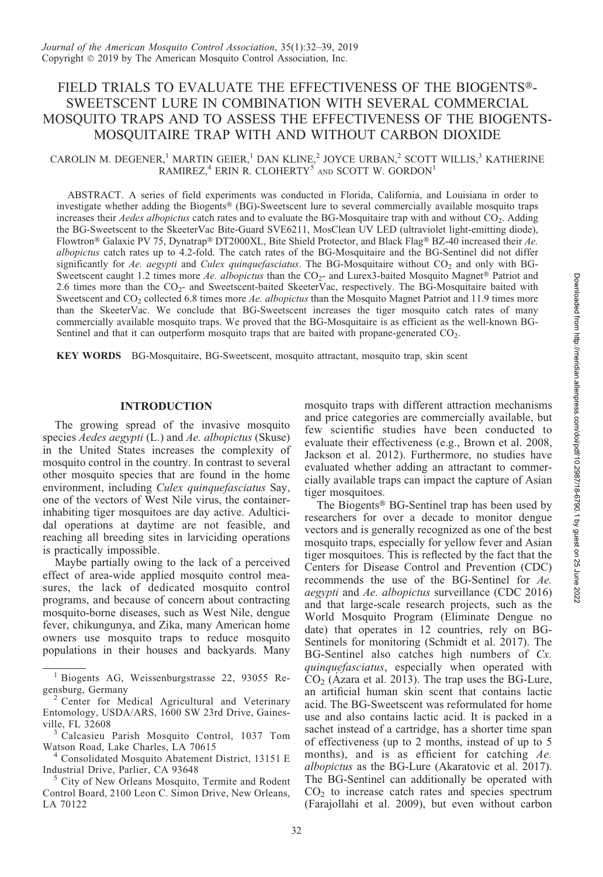# FIELD TRIALS TO EVALUATE THE EFFECTIVENESS OF THE BIOGENTS®-SWEETSCENT LURE IN COMBINATION WITH SEVERAL COMMERCIAL MOSQUITO TRAPS AND TO ASSESS THE EFFECTIVENESS OF THE BIOGENTS-MOSQUITAIRE TRAP WITH AND WITHOUT CARBON DIOXIDE

# CAROLIN M. DEGENER,<sup>1</sup> MARTIN GEIER,<sup>1</sup> DAN KLINE,<sup>2</sup> JOYCE URBAN,<sup>2</sup> SCOTT WILLIS,<sup>3</sup> KATHERINE RAMIREZ, $4$  ERIN R. CLOHERTY<sup>5</sup> AND SCOTT W. GORDON<sup>1</sup>

ABSTRACT. A series of field experiments was conducted in Florida, California, and Louisiana in order to investigate whether adding the Biogents® (BG)-Sweetscent lure to several commercially available mosquito traps increases their Aedes albopictus catch rates and to evaluate the BG-Mosquitaire trap with and without CO<sub>2</sub>. Adding the BG-Sweetscent to the SkeeterVac Bite-Guard SVE6211, MosClean UV LED (ultraviolet light-emitting diode), Flowtron® Galaxie PV 75, Dynatrap® DT2000XL, Bite Shield Protector, and Black Flag® BZ-40 increased their Ae. albopictus catch rates up to 4.2-fold. The catch rates of the BG-Mosquitaire and the BG-Sentinel did not differ significantly for Ae. aegypti and Culex quinquefasciatus. The BG-Mosquitaire without  $CO<sub>2</sub>$  and only with BG-Sweetscent caught 1.2 times more Ae. albopictus than the  $CO<sub>2</sub>$ - and Lurex3-baited Mosquito Magnet® Patriot and 2.6 times more than the CO<sub>2</sub>- and Sweetscent-baited SkeeterVac, respectively. The BG-Mosquitaire baited with Sweetscent and CO<sub>2</sub> collected 6.8 times more Ae. albopictus than the Mosquito Magnet Patriot and 11.9 times more than the SkeeterVac. We conclude that BG-Sweetscent increases the tiger mosquito catch rates of many commercially available mosquito traps. We proved that the BG-Mosquitaire is as efficient as the well-known BG-Sentinel and that it can outperform mosquito traps that are baited with propane-generated  $CO<sub>2</sub>$ .

KEY WORDS BG-Mosquitaire, BG-Sweetscent, mosquito attractant, mosquito trap, skin scent

### INTRODUCTION

The growing spread of the invasive mosquito species *Aedes aegypti* (L.) and *Ae. albopictus* (Skuse) in the United States increases the complexity of mosquito control in the country. In contrast to several other mosquito species that are found in the home environment, including Culex quinquefasciatus Say, one of the vectors of West Nile virus, the containerinhabiting tiger mosquitoes are day active. Adulticidal operations at daytime are not feasible, and reaching all breeding sites in larviciding operations is practically impossible.

Maybe partially owing to the lack of a perceived effect of area-wide applied mosquito control measures, the lack of dedicated mosquito control programs, and because of concern about contracting mosquito-borne diseases, such as West Nile, dengue fever, chikungunya, and Zika, many American home owners use mosquito traps to reduce mosquito populations in their houses and backyards. Many

mosquito traps with different attraction mechanisms and price categories are commercially available, but few scientific studies have been conducted to evaluate their effectiveness (e.g., Brown et al. 2008, Jackson et al. 2012). Furthermore, no studies have evaluated whether adding an attractant to commercially available traps can impact the capture of Asian tiger mosquitoes.

The Biogents<sup>®</sup> BG-Sentinel trap has been used by researchers for over a decade to monitor dengue vectors and is generally recognized as one of the best mosquito traps, especially for yellow fever and Asian tiger mosquitoes. This is reflected by the fact that the Centers for Disease Control and Prevention (CDC) recommends the use of the BG-Sentinel for Ae. aegypti and Ae. albopictus surveillance (CDC 2016) and that large-scale research projects, such as the World Mosquito Program (Eliminate Dengue no date) that operates in 12 countries, rely on BG-Sentinels for monitoring (Schmidt et al. 2017). The BG-Sentinel also catches high numbers of Cx. quinquefasciatus, especially when operated with  $CO<sub>2</sub>$  (Azara et al. 2013). The trap uses the BG-Lure, an artificial human skin scent that contains lactic acid. The BG-Sweetscent was reformulated for home use and also contains lactic acid. It is packed in a sachet instead of a cartridge, has a shorter time span of effectiveness (up to 2 months, instead of up to 5 months), and is as efficient for catching Ae. albopictus as the BG-Lure (Akaratovic et al. 2017). The BG-Sentinel can additionally be operated with  $CO<sub>2</sub>$  to increase catch rates and species spectrum (Farajollahi et al. 2009), but even without carbon

<sup>&</sup>lt;sup>1</sup> Biogents AG, Weissenburgstrasse 22, 93055 Regensburg, Germany

Center for Medical Agricultural and Veterinary Entomology, USDA/ARS, 1600 SW 23rd Drive, Gaines-

<sup>&</sup>lt;sup>3</sup> Calcasieu Parish Mosquito Control, 1037 Tom

Watson Road, Lake Charles, LA 70615<br><sup>4</sup> Consolidated Mosquito Abatement District, 13151 E<br>Industrial Drive, Parlier, CA 93648

City of New Orleans Mosquito, Termite and Rodent Control Board, 2100 Leon C. Simon Drive, New Orleans, LA 70122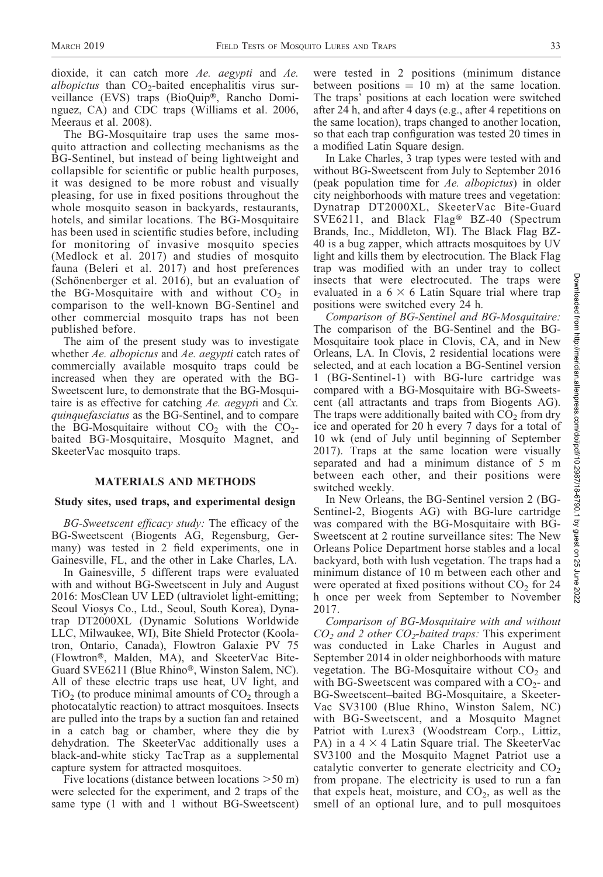dioxide, it can catch more Ae. aegypti and Ae. albopictus than  $CO<sub>2</sub>$ -baited encephalitis virus surveillance (EVS) traps (BioQuip®, Rancho Dominguez, CA) and CDC traps (Williams et al. 2006, Meeraus et al. 2008).

The BG-Mosquitaire trap uses the same mosquito attraction and collecting mechanisms as the BG-Sentinel, but instead of being lightweight and collapsible for scientific or public health purposes, it was designed to be more robust and visually pleasing, for use in fixed positions throughout the whole mosquito season in backyards, restaurants, hotels, and similar locations. The BG-Mosquitaire has been used in scientific studies before, including for monitoring of invasive mosquito species (Medlock et al. 2017) and studies of mosquito fauna (Beleri et al. 2017) and host preferences (Schönenberger et al.  $2016$ ), but an evaluation of the BG-Mosquitaire with and without  $CO<sub>2</sub>$  in comparison to the well-known BG-Sentinel and other commercial mosquito traps has not been published before.

The aim of the present study was to investigate whether Ae. albopictus and Ae. aegypti catch rates of commercially available mosquito traps could be increased when they are operated with the BG-Sweetscent lure, to demonstrate that the BG-Mosquitaire is as effective for catching Ae. aegypti and Cx. quinquefasciatus as the BG-Sentinel, and to compare the BG-Mosquitaire without  $CO<sub>2</sub>$  with the  $CO<sub>2</sub>$ baited BG-Mosquitaire, Mosquito Magnet, and SkeeterVac mosquito traps.

## MATERIALS AND METHODS

#### Study sites, used traps, and experimental design

BG-Sweetscent efficacy study: The efficacy of the BG-Sweetscent (Biogents AG, Regensburg, Germany) was tested in 2 field experiments, one in Gainesville, FL, and the other in Lake Charles, LA.

In Gainesville, 5 different traps were evaluated with and without BG-Sweetscent in July and August 2016: MosClean UV LED (ultraviolet light-emitting; Seoul Viosys Co., Ltd., Seoul, South Korea), Dynatrap DT2000XL (Dynamic Solutions Worldwide LLC, Milwaukee, WI), Bite Shield Protector (Koolatron, Ontario, Canada), Flowtron Galaxie PV 75 (Flowtron®, Malden, MA), and SkeeterVac Bite-Guard SVE6211 (Blue Rhino®, Winston Salem, NC). All of these electric traps use heat, UV light, and  $TiO<sub>2</sub>$  (to produce minimal amounts of  $CO<sub>2</sub>$  through a photocatalytic reaction) to attract mosquitoes. Insects are pulled into the traps by a suction fan and retained in a catch bag or chamber, where they die by dehydration. The SkeeterVac additionally uses a black-and-white sticky TacTrap as a supplemental capture system for attracted mosquitoes.

Five locations (distance between locations  $>50$  m) were selected for the experiment, and 2 traps of the same type  $(1 \text{ with and } 1 \text{ without BG-Sweetscent})$  were tested in 2 positions (minimum distance between positions  $= 10$  m) at the same location. The traps' positions at each location were switched after 24 h, and after 4 days (e.g., after 4 repetitions on the same location), traps changed to another location, so that each trap configuration was tested 20 times in a modified Latin Square design.

In Lake Charles, 3 trap types were tested with and without BG-Sweetscent from July to September 2016 (peak population time for Ae. albopictus) in older city neighborhoods with mature trees and vegetation: Dynatrap DT2000XL, SkeeterVac Bite-Guard SVE6211, and Black Flag® BZ-40 (Spectrum Brands, Inc., Middleton, WI). The Black Flag BZ-40 is a bug zapper, which attracts mosquitoes by UV light and kills them by electrocution. The Black Flag trap was modified with an under tray to collect insects that were electrocuted. The traps were evaluated in a  $6 \times 6$  Latin Square trial where trap positions were switched every 24 h.

Comparison of BG-Sentinel and BG-Mosquitaire: The comparison of the BG-Sentinel and the BG-Mosquitaire took place in Clovis, CA, and in New Orleans, LA. In Clovis, 2 residential locations were selected, and at each location a BG-Sentinel version 1 (BG-Sentinel-1) with BG-lure cartridge was compared with a BG-Mosquitaire with BG-Sweetscent (all attractants and traps from Biogents AG). The traps were additionally baited with  $CO<sub>2</sub>$  from dry ice and operated for 20 h every 7 days for a total of 10 wk (end of July until beginning of September 2017). Traps at the same location were visually separated and had a minimum distance of 5 m between each other, and their positions were switched weekly.

In New Orleans, the BG-Sentinel version 2 (BG-Sentinel-2, Biogents AG) with BG-lure cartridge was compared with the BG-Mosquitaire with BG-Sweetscent at 2 routine surveillance sites: The New Orleans Police Department horse stables and a local backyard, both with lush vegetation. The traps had a minimum distance of 10 m between each other and were operated at fixed positions without  $CO<sub>2</sub>$  for 24 h once per week from September to November 2017.

Comparison of BG-Mosquitaire with and without  $CO<sub>2</sub>$  and 2 other  $CO<sub>2</sub>$ -baited traps: This experiment was conducted in Lake Charles in August and September 2014 in older neighborhoods with mature vegetation. The BG-Mosquitaire without  $CO<sub>2</sub>$  and with BG-Sweetscent was compared with a  $CO<sub>2</sub>$ - and BG-Sweetscent–baited BG-Mosquitaire, a Skeeter-Vac SV3100 (Blue Rhino, Winston Salem, NC) with BG-Sweetscent, and a Mosquito Magnet Patriot with Lurex3 (Woodstream Corp., Littiz, PA) in a  $4 \times 4$  Latin Square trial. The SkeeterVac SV3100 and the Mosquito Magnet Patriot use a catalytic converter to generate electricity and  $CO<sub>2</sub>$ from propane. The electricity is used to run a fan that expels heat, moisture, and  $CO<sub>2</sub>$ , as well as the smell of an optional lure, and to pull mosquitoes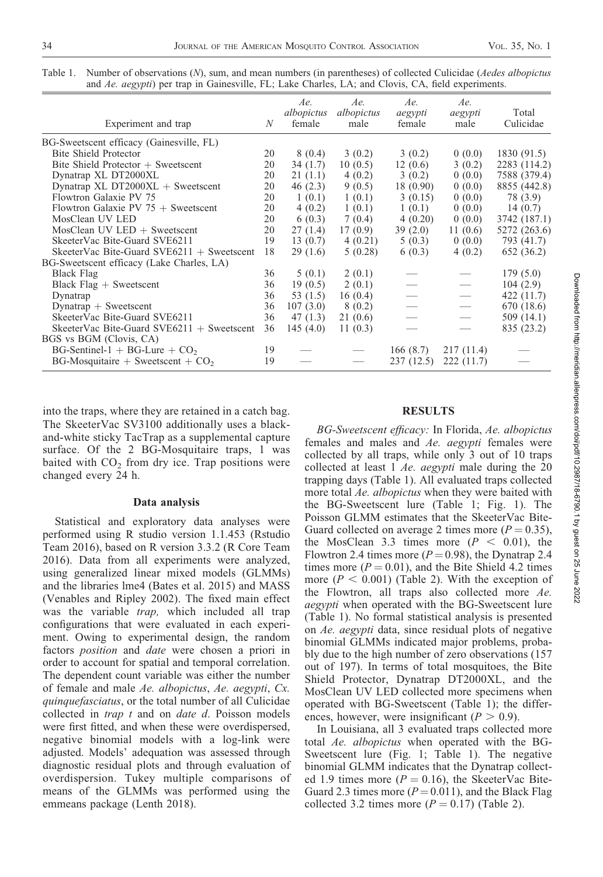| Experiment and trap                           | N  | Ae.<br>albopictus<br>female | Ae.<br>albopictus<br>male | Ae.<br>aegypti<br>female | Ae.<br>aegypti<br>male | Total<br>Culicidae |
|-----------------------------------------------|----|-----------------------------|---------------------------|--------------------------|------------------------|--------------------|
| BG-Sweetscent efficacy (Gainesville, FL)      |    |                             |                           |                          |                        |                    |
| <b>Bite Shield Protector</b>                  | 20 | 8(0.4)                      | 3(0.2)                    | 3(0.2)                   | 0(0.0)                 | 1830(91.5)         |
| Bite Shield Protector $+$ Sweetscent          | 20 | 34(1.7)                     | 10(0.5)                   | 12(0.6)                  | 3(0.2)                 | 2283 (114.2)       |
| Dynatrap XL DT2000XL                          | 20 | 21(1.1)                     | 4(0.2)                    | 3(0.2)                   | 0(0.0)                 | 7588 (379.4)       |
| Dynatrap XL DT2000 $XL +$ Sweetscent          | 20 | 46(2.3)                     | 9(0.5)                    | 18(0.90)                 | 0(0.0)                 | 8855 (442.8)       |
| Flowtron Galaxie PV 75                        | 20 | 1(0.1)                      | 1(0.1)                    | 3(0.15)                  | 0(0.0)                 | 78 (3.9)           |
| Flowtron Galaxie PV $75 +$ Sweetscent         | 20 | 4(0.2)                      | 1(0.1)                    | 1(0.1)                   | 0(0.0)                 | 14(0.7)            |
| MosClean UV LED                               | 20 | 6(0.3)                      | 7(0.4)                    | 4(0.20)                  | 0(0.0)                 | 3742 (187.1)       |
| $M$ osClean UV LED + Sweetscent               | 20 | 27(1.4)                     | 17(0.9)                   | 39(2.0)                  | 11(0.6)                | 5272 (263.6)       |
| SkeeterVac Bite-Guard SVE6211                 | 19 | 13(0.7)                     | 4(0.21)                   | 5(0.3)                   | 0(0.0)                 | 793 (41.7)         |
| SkeeterVac Bite-Guard SVE6211 $+$ Sweetscent  | 18 | 29(1.6)                     | 5(0.28)                   | 6(0.3)                   | 4(0.2)                 | 652 (36.2)         |
| BG-Sweetscent efficacy (Lake Charles, LA)     |    |                             |                           |                          |                        |                    |
| Black Flag                                    | 36 | 5(0.1)                      | 2(0.1)                    |                          |                        | 179(5.0)           |
| Black $Flag + Swetscent$                      | 36 | 19(0.5)                     | 2(0.1)                    |                          | $\hspace{0.05cm}$      | 104(2.9)           |
| Dynatrap                                      | 36 | 53 $(1.5)$                  | 16(0.4)                   |                          |                        | 422 (11.7)         |
| $Dynatrap + Swetseent$                        | 36 | 107(3.0)                    | 8(0.2)                    |                          | $\hspace{0.05cm}$      | 670 (18.6)         |
| SkeeterVac Bite-Guard SVE6211                 | 36 | 47(1.3)                     | 21(0.6)                   |                          |                        | 509(14.1)          |
| SkeeterVac Bite-Guard SVE6211 $+$ Sweetscent  | 36 | 145(4.0)                    | 11 $(0.3)$                |                          |                        | 835 (23.2)         |
| BGS vs BGM (Clovis, CA)                       |    |                             |                           |                          |                        |                    |
| $BG\text{-}Sentinel-1 + BG\text{-}Lure + CO2$ | 19 |                             |                           | 166(8.7)                 | 217 (11.4)             |                    |
| $BG$ -Mosquitaire + Sweetscent + $CO2$        | 19 |                             |                           | 237(12.5)                | 222(11.7)              |                    |

Table 1. Number of observations (N), sum, and mean numbers (in parentheses) of collected Culicidae (*Aedes albopictus* and Ae. aegypti) per trap in Gainesville, FL; Lake Charles, LA; and Clovis, CA, field experiments.

into the traps, where they are retained in a catch bag. The SkeeterVac SV3100 additionally uses a blackand-white sticky TacTrap as a supplemental capture surface. Of the 2 BG-Mosquitaire traps, 1 was baited with  $CO<sub>2</sub>$  from dry ice. Trap positions were changed every 24 h.

#### Data analysis

Statistical and exploratory data analyses were performed using R studio version 1.1.453 (Rstudio Team 2016), based on R version 3.3.2 (R Core Team 2016). Data from all experiments were analyzed, using generalized linear mixed models (GLMMs) and the libraries lme4 (Bates et al. 2015) and MASS (Venables and Ripley 2002). The fixed main effect was the variable trap, which included all trap configurations that were evaluated in each experiment. Owing to experimental design, the random factors position and date were chosen a priori in order to account for spatial and temporal correlation. The dependent count variable was either the number of female and male Ae. albopictus, Ae. aegypti, Cx. quinquefasciatus, or the total number of all Culicidae collected in  $trap$   $t$  and on  $date$   $d$ . Poisson models were first fitted, and when these were overdispersed, negative binomial models with a log-link were adjusted. Models' adequation was assessed through diagnostic residual plots and through evaluation of overdispersion. Tukey multiple comparisons of means of the GLMMs was performed using the emmeans package (Lenth 2018).

## **RESULTS**

BG-Sweetscent efficacy: In Florida, Ae. albopictus females and males and Ae. aegypti females were collected by all traps, while only 3 out of 10 traps collected at least 1 Ae. aegypti male during the 20 trapping days (Table 1). All evaluated traps collected more total *Ae. albopictus* when they were baited with the BG-Sweetscent lure (Table 1; Fig. 1). The Poisson GLMM estimates that the SkeeterVac Bite-Guard collected on average 2 times more ( $P = 0.35$ ), the MosClean 3.3 times more  $(P < 0.01)$ , the Flowtron 2.4 times more ( $P = 0.98$ ), the Dynatrap 2.4 times more ( $P = 0.01$ ), and the Bite Shield 4.2 times more ( $P < 0.001$ ) (Table 2). With the exception of the Flowtron, all traps also collected more Ae. aegypti when operated with the BG-Sweetscent lure (Table 1). No formal statistical analysis is presented on Ae. aegypti data, since residual plots of negative binomial GLMMs indicated major problems, probably due to the high number of zero observations (157 out of 197). In terms of total mosquitoes, the Bite Shield Protector, Dynatrap DT2000XL, and the MosClean UV LED collected more specimens when operated with BG-Sweetscent (Table 1); the differences, however, were insignificant ( $P > 0.9$ ).

In Louisiana, all 3 evaluated traps collected more total Ae. albopictus when operated with the BG-Sweetscent lure (Fig. 1; Table 1). The negative binomial GLMM indicates that the Dynatrap collected 1.9 times more ( $P = 0.16$ ), the SkeeterVac Bite-Guard 2.3 times more ( $P = 0.011$ ), and the Black Flag collected 3.2 times more ( $P = 0.17$ ) (Table 2).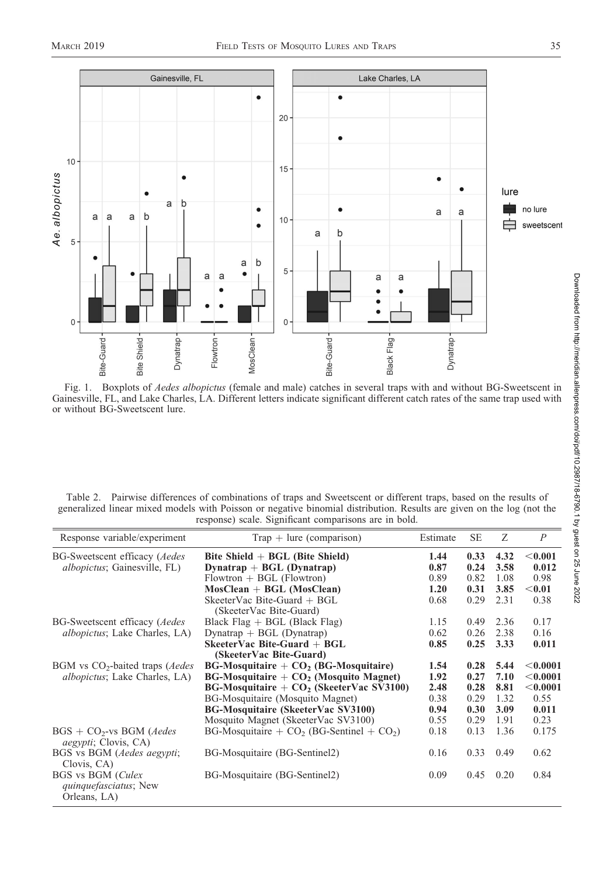

Fig. 1. Boxplots of Aedes albopictus (female and male) catches in several traps with and without BG-Sweetscent in Gainesville, FL, and Lake Charles, LA. Different letters indicate significant different catch rates of the same trap used with or without BG-Sweetscent lure.

| Table 2. Pairwise differences of combinations of traps and Sweetscent or different traps, based on the results of     |                                                       |  |  |  |  |
|-----------------------------------------------------------------------------------------------------------------------|-------------------------------------------------------|--|--|--|--|
| generalized linear mixed models with Poisson or negative binomial distribution. Results are given on the log (not the |                                                       |  |  |  |  |
|                                                                                                                       | response) scale. Significant comparisons are in bold. |  |  |  |  |

| Response variable/experiment                                       | $Trap + lure (comparison)$                    | Estimate | <b>SE</b> | Ζ    | $\boldsymbol{P}$ |
|--------------------------------------------------------------------|-----------------------------------------------|----------|-----------|------|------------------|
| BG-Sweetscent efficacy (Aedes                                      | Bite Shield $+$ BGL (Bite Shield)             | 1.44     | 0.33      | 4.32 | < 0.001          |
| <i>albopictus</i> ; Gainesville, FL)                               | Dynatrap $+$ BGL (Dynatrap)                   | 0.87     | 0.24      | 3.58 | 0.012            |
|                                                                    | $Flowtron + BGL$ (Flowtron)                   | 0.89     | 0.82      | 1.08 | 0.98             |
|                                                                    | $Most Clean + BGL (Most Clean)$               | 1.20     | 0.31      | 3.85 | $<$ 0.01         |
|                                                                    | SkeeterVac Bite-Guard + BGL                   | 0.68     | 0.29      | 2.31 | 0.38             |
|                                                                    | (SkeeterVac Bite-Guard)                       |          |           |      |                  |
| BG-Sweetscent efficacy ( <i>Aedes</i>                              | Black $Flag + BGL$ (Black $Flag$ )            | 1.15     | 0.49      | 2.36 | 0.17             |
| <i>albopictus</i> ; Lake Charles, LA)                              | Dynatrap $+$ BGL (Dynatrap)                   | 0.62     | 0.26      | 2.38 | 0.16             |
|                                                                    | $S$ keeter Vac Bite-Guard + BGL               | 0.85     | 0.25      | 3.33 | 0.011            |
|                                                                    | (SkeeterVac Bite-Guard)                       |          |           |      |                  |
| $BGM$ vs $CO2$ -baited traps ( <i>Aedes</i>                        | $BG-Mosquitaire + CO2 (BG-Mosquitaire)$       | 1.54     | 0.28      | 5.44 | < 0.0001         |
| <i>albopictus</i> ; Lake Charles, LA)                              | $BG-Mosquitaire + CO2 (Mosquito Magnet)$      | 1.92     | 0.27      | 7.10 | < 0.0001         |
|                                                                    | $BG-Mosquitaire + CO2$ (SkeeterVac SV3100)    | 2.48     | 0.28      | 8.81 | < 0.0001         |
|                                                                    | BG-Mosquitaire (Mosquito Magnet)              | 0.38     | 0.29      | 1.32 | 0.55             |
|                                                                    | BG-Mosquitaire (SkeeterVac SV3100)            | 0.94     | 0.30      | 3.09 | 0.011            |
|                                                                    | Mosquito Magnet (SkeeterVac SV3100)           | 0.55     | 0.29      | 1.91 | 0.23             |
| $BGS + CO2-vs BGM$ (Aedes<br><i>aegypti</i> ; Clovis, CA)          | BG-Mosquitaire + $CO2$ (BG-Sentinel + $CO2$ ) | 0.18     | 0.13      | 1.36 | 0.175            |
| BGS vs BGM (Aedes aegypti;                                         | BG-Mosquitaire (BG-Sentinel2)                 | 0.16     | 0.33      | 0.49 | 0.62             |
| Clovis, CA)                                                        |                                               |          |           |      |                  |
| BGS vs BGM (Culex<br><i>quinquefasciatus</i> ; New<br>Orleans, LA) | BG-Mosquitaire (BG-Sentinel2)                 | 0.09     | 0.45      | 0.20 | 0.84             |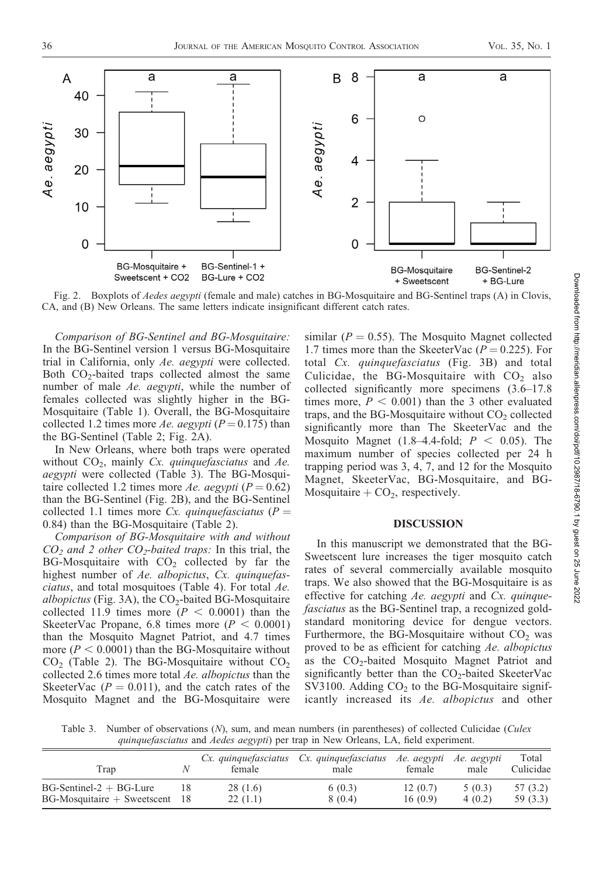

Fig. 2. Boxplots of *Aedes aegypti* (female and male) catches in BG-Mosquitaire and BG-Sentinel traps (A) in Clovis, CA, and (B) New Orleans. The same letters indicate insignificant different catch rates.

Comparison of BG-Sentinel and BG-Mosquitaire: In the BG-Sentinel version 1 versus BG-Mosquitaire trial in California, only Ae. aegypti were collected. Both CO<sub>2</sub>-baited traps collected almost the same number of male Ae. aegypti, while the number of females collected was slightly higher in the BG-Mosquitaire (Table 1). Overall, the BG-Mosquitaire collected 1.2 times more Ae. aegypti ( $P = 0.175$ ) than the BG-Sentinel (Table 2; Fig. 2A).

In New Orleans, where both traps were operated without  $CO<sub>2</sub>$ , mainly Cx. quinquefasciatus and Ae. aegypti were collected (Table 3). The BG-Mosquitaire collected 1.2 times more Ae. aegypti ( $P = 0.62$ ) than the BG-Sentinel (Fig. 2B), and the BG-Sentinel collected 1.1 times more Cx. quinque fasciatus ( $P =$ 0.84) than the BG-Mosquitaire (Table 2).

Comparison of BG-Mosquitaire with and without  $CO<sub>2</sub>$  and 2 other  $CO<sub>2</sub>$ -baited traps: In this trial, the BG-Mosquitaire with  $CO<sub>2</sub>$  collected by far the highest number of Ae. albopictus, Cx. quinquefasciatus, and total mosquitoes (Table 4). For total Ae. albopictus (Fig. 3A), the  $CO<sub>2</sub>$ -baited BG-Mosquitaire collected 11.9 times more ( $P < 0.0001$ ) than the SkeeterVac Propane, 6.8 times more ( $P < 0.0001$ ) than the Mosquito Magnet Patriot, and 4.7 times more ( $P < 0.0001$ ) than the BG-Mosquitaire without  $CO<sub>2</sub>$  (Table 2). The BG-Mosquitaire without  $CO<sub>2</sub>$ collected 2.6 times more total Ae. albopictus than the SkeeterVac ( $P = 0.011$ ), and the catch rates of the Mosquito Magnet and the BG-Mosquitaire were

similar ( $P = 0.55$ ). The Mosquito Magnet collected 1.7 times more than the SkeeterVac  $(P = 0.225)$ . For total Cx. quinquefasciatus (Fig. 3B) and total Culicidae, the BG-Mosquitaire with  $CO<sub>2</sub>$  also collected significantly more specimens (3.6–17.8 times more,  $P < 0.001$ ) than the 3 other evaluated traps, and the BG-Mosquitaire without  $CO<sub>2</sub>$  collected significantly more than The SkeeterVac and the Mosquito Magnet (1.8–4.4-fold;  $P < 0.05$ ). The maximum number of species collected per 24 h trapping period was 3, 4, 7, and 12 for the Mosquito Magnet, SkeeterVac, BG-Mosquitaire, and BG-Mosquitaire +  $CO<sub>2</sub>$ , respectively.

## DISCUSSION

In this manuscript we demonstrated that the BG-Sweetscent lure increases the tiger mosquito catch rates of several commercially available mosquito traps. We also showed that the BG-Mosquitaire is as effective for catching  $Ae$ . aegypti and  $Cx$ . quinquefasciatus as the BG-Sentinel trap, a recognized goldstandard monitoring device for dengue vectors. Furthermore, the BG-Mosquitaire without  $CO<sub>2</sub>$  was proved to be as efficient for catching Ae. albopictus as the  $CO<sub>2</sub>$ -baited Mosquito Magnet Patriot and significantly better than the  $CO<sub>2</sub>$ -baited SkeeterVac  $SV3100$ . Adding  $CO<sub>2</sub>$  to the BG-Mosquitaire significantly increased its Ae. albopictus and other

Table 3. Number of observations (N), sum, and mean numbers (in parentheses) of collected Culicidae (Culex quinquefasciatus and Aedes aegypti) per trap in New Orleans, LA, field experiment.

| Trap                             | female  | Cx. quinquefasciatus Cx. quinquefasciatus Ae. aegypti Ae. aegypti<br>male | female  | male   | Total<br>Culicidae |
|----------------------------------|---------|---------------------------------------------------------------------------|---------|--------|--------------------|
| $BG-Sentinel-2 + BG-Lure$        | 28(1.6) | 6(0.3)                                                                    | 12(0.7) | 5(0.3) | 57 (3.2)           |
| $BG-Mosquitaire + Sweetscent$ 18 | 22(1.1) | 8 (0.4)                                                                   | 16(0.9) | 4(0.2) | 59 (3.3)           |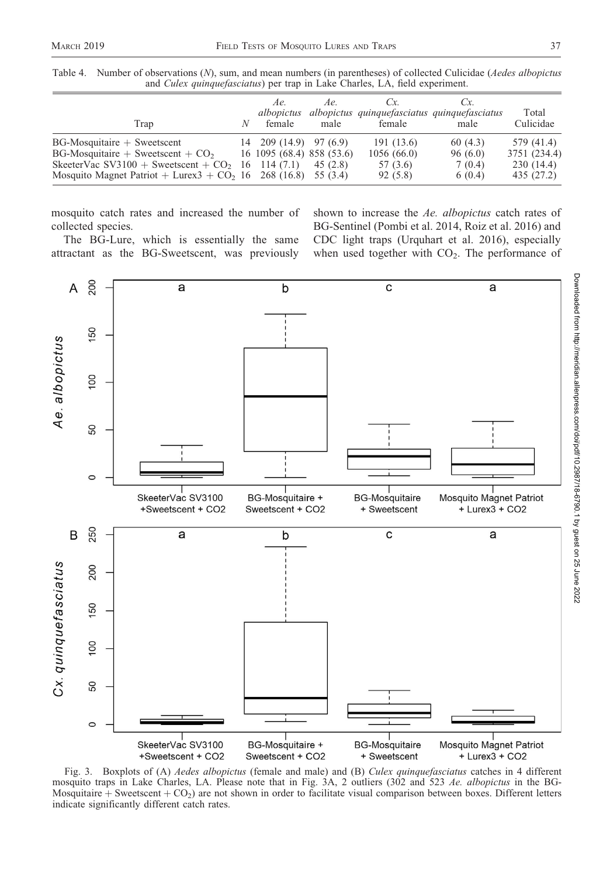| Table 4. Number of observations (N), sum, and mean numbers (in parentheses) of collected Culicidae ( <i>Aedes albopictus</i> |
|------------------------------------------------------------------------------------------------------------------------------|
| and <i>Culex quinquefasciatus</i> ) per trap in Lake Charles, LA, field experiment.                                          |

| Trap                                                                                                                                                                        | N | Ae.<br>albopictus<br>female                                                                   | Ae.<br>male          | $\alpha$<br>albopictus quinquefasciatus quinquefasciatus<br>female | Cx.<br>male                            | Total<br>Culicidae                                    |
|-----------------------------------------------------------------------------------------------------------------------------------------------------------------------------|---|-----------------------------------------------------------------------------------------------|----------------------|--------------------------------------------------------------------|----------------------------------------|-------------------------------------------------------|
| $BG-Mosquitaire + Swetscent$<br>$BG$ -Mosquitaire + Sweetscent + $CO2$<br>SkeeterVac SV3100 + Sweetscent + $CO2$<br>Mosquito Magnet Patriot + Lurex $3 + CO2$ 16 268 (16.8) |   | $14\quad 209\ (14.9)\quad 97\ (6.9)$<br>16 1095 (68.4) 858 (53.6)<br>$16 \quad 114 \tag{7.1}$ | 45 (2.8)<br>55 (3.4) | 191 (13.6)<br>1056(66.0)<br>57 (3.6)<br>92(5.8)                    | 60(4.3)<br>96(6.0)<br>7(0.4)<br>6(0.4) | 579 (41.4)<br>3751 (234.4)<br>230(14.4)<br>435 (27.2) |

mosquito catch rates and increased the number of collected species.

The BG-Lure, which is essentially the same attractant as the BG-Sweetscent, was previously

shown to increase the Ae. albopictus catch rates of BG-Sentinel (Pombi et al. 2014, Roiz et al. 2016) and CDC light traps (Urquhart et al. 2016), especially when used together with  $CO<sub>2</sub>$ . The performance of



Fig. 3. Boxplots of (A) *Aedes albopictus* (female and male) and (B) *Culex quinquefasciatus* catches in 4 different mosquito traps in Lake Charles, LA. Please note that in Fig. 3A, 2 outliers (302 and 523 Ae. albopictus in the BG-Mosquitaire  $+$  Sweetscent  $+$  CO<sub>2</sub>) are not shown in order to facilitate visual comparison between boxes. Different letters indicate significantly different catch rates.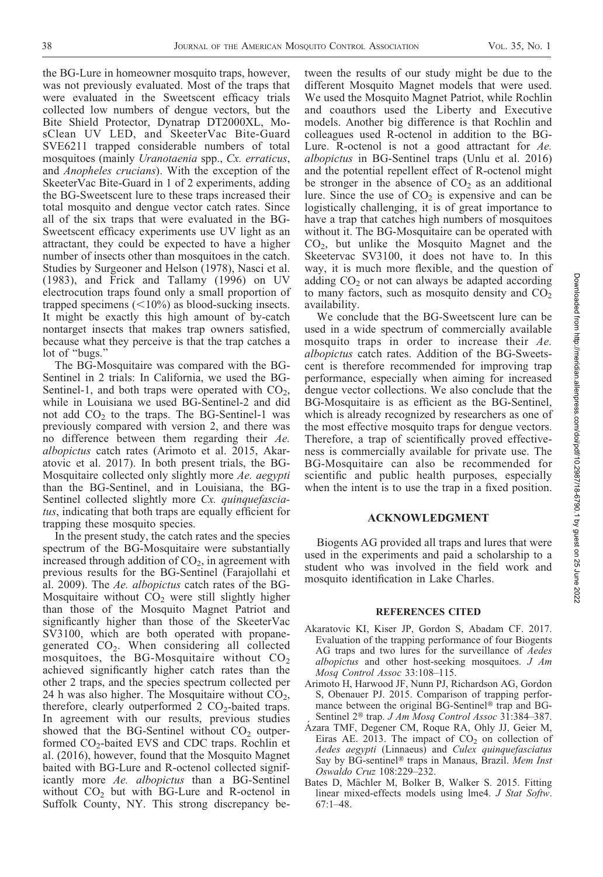the BG-Lure in homeowner mosquito traps, however, was not previously evaluated. Most of the traps that were evaluated in the Sweetscent efficacy trials collected low numbers of dengue vectors, but the Bite Shield Protector, Dynatrap DT2000XL, MosClean UV LED, and SkeeterVac Bite-Guard SVE6211 trapped considerable numbers of total mosquitoes (mainly Uranotaenia spp., Cx. erraticus, and Anopheles crucians). With the exception of the SkeeterVac Bite-Guard in 1 of 2 experiments, adding the BG-Sweetscent lure to these traps increased their total mosquito and dengue vector catch rates. Since all of the six traps that were evaluated in the BG-Sweetscent efficacy experiments use UV light as an attractant, they could be expected to have a higher number of insects other than mosquitoes in the catch. Studies by Surgeoner and Helson (1978), Nasci et al. (1983), and Frick and Tallamy (1996) on UV electrocution traps found only a small proportion of trapped specimens  $(<10\%)$  as blood-sucking insects. It might be exactly this high amount of by-catch nontarget insects that makes trap owners satisfied, because what they perceive is that the trap catches a lot of "bugs."

The BG-Mosquitaire was compared with the BG-Sentinel in 2 trials: In California, we used the BG-Sentinel-1, and both traps were operated with  $CO<sub>2</sub>$ , while in Louisiana we used BG-Sentinel-2 and did not add  $CO<sub>2</sub>$  to the traps. The BG-Sentinel-1 was previously compared with version 2, and there was no difference between them regarding their Ae. albopictus catch rates (Arimoto et al. 2015, Akaratovic et al. 2017). In both present trials, the BG-Mosquitaire collected only slightly more Ae. aegypti than the BG-Sentinel, and in Louisiana, the BG-Sentinel collected slightly more Cx. quinquefasciatus, indicating that both traps are equally efficient for trapping these mosquito species.

In the present study, the catch rates and the species spectrum of the BG-Mosquitaire were substantially increased through addition of  $CO<sub>2</sub>$ , in agreement with previous results for the BG-Sentinel (Farajollahi et al. 2009). The Ae. albopictus catch rates of the BG-Mosquitaire without  $CO<sub>2</sub>$  were still slightly higher than those of the Mosquito Magnet Patriot and significantly higher than those of the SkeeterVac SV3100, which are both operated with propanegenerated  $CO<sub>2</sub>$ . When considering all collected mosquitoes, the BG-Mosquitaire without  $CO<sub>2</sub>$ achieved significantly higher catch rates than the other 2 traps, and the species spectrum collected per 24 h was also higher. The Mosquitaire without  $\overline{CO}_2$ , therefore, clearly outperformed  $2 \text{ CO}_2$ -baited traps. In agreement with our results, previous studies showed that the BG-Sentinel without  $CO<sub>2</sub>$  outperformed CO2-baited EVS and CDC traps. Rochlin et al. (2016), however, found that the Mosquito Magnet baited with BG-Lure and R-octenol collected significantly more Ae. albopictus than a BG-Sentinel without  $CO<sub>2</sub>$  but with BG-Lure and R-octenol in Suffolk County, NY. This strong discrepancy between the results of our study might be due to the different Mosquito Magnet models that were used. We used the Mosquito Magnet Patriot, while Rochlin and coauthors used the Liberty and Executive models. Another big difference is that Rochlin and colleagues used R-octenol in addition to the BG-Lure. R-octenol is not a good attractant for Ae. albopictus in BG-Sentinel traps (Unlu et al. 2016) and the potential repellent effect of R-octenol might be stronger in the absence of  $CO<sub>2</sub>$  as an additional lure. Since the use of  $CO<sub>2</sub>$  is expensive and can be logistically challenging, it is of great importance to have a trap that catches high numbers of mosquitoes without it. The BG-Mosquitaire can be operated with  $CO<sub>2</sub>$ , but unlike the Mosquito Magnet and the Skeetervac SV3100, it does not have to. In this way, it is much more flexible, and the question of adding  $CO<sub>2</sub>$  or not can always be adapted according to many factors, such as mosquito density and  $CO<sub>2</sub>$ availability.

We conclude that the BG-Sweetscent lure can be used in a wide spectrum of commercially available mosquito traps in order to increase their Ae. albopictus catch rates. Addition of the BG-Sweetscent is therefore recommended for improving trap performance, especially when aiming for increased dengue vector collections. We also conclude that the BG-Mosquitaire is as efficient as the BG-Sentinel, which is already recognized by researchers as one of the most effective mosquito traps for dengue vectors. Therefore, a trap of scientifically proved effectiveness is commercially available for private use. The BG-Mosquitaire can also be recommended for scientific and public health purposes, especially when the intent is to use the trap in a fixed position.

# ACKNOWLEDGMENT

Biogents AG provided all traps and lures that were used in the experiments and paid a scholarship to a student who was involved in the field work and mosquito identification in Lake Charles.

#### REFERENCES CITED

- Akaratovic KI, Kiser JP, Gordon S, Abadam CF. 2017. Evaluation of the trapping performance of four Biogents AG traps and two lures for the surveillance of Aedes albopictus and other host-seeking mosquitoes. J Am Mosq Control Assoc 33:108–115.
- Arimoto H, Harwood JF, Nunn PJ, Richardson AG, Gordon S, Obenauer PJ. 2015. Comparison of trapping performance between the original  $BG$ -Sentinel® trap and BG-Sentinel 2<sup>®</sup> trap. J Am Mosq Control Assoc 31:384-387.
- Azara TMF, Degener CM, Roque RA, Ohly JJ, Geier M, ´ Eiras AE. 2013. The impact of  $CO<sub>2</sub>$  on collection of Aedes aegypti (Linnaeus) and Culex quinquefasciatus Say by BG-sentinel® traps in Manaus, Brazil. Mem Inst Oswaldo Cruz 108:229–232.
- Bates D, Mächler M, Bolker B, Walker S. 2015. Fitting linear mixed-effects models using lme4. J Stat Softw. 67:1–48.